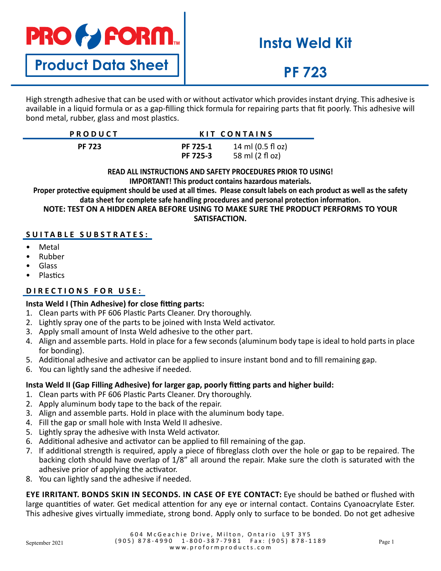

**Product Data Sheet**

# **Insta Weld Kit**

# **PF 723**

High strength adhesive that can be used with or without activator which provides instant drying. This adhesive is available in a liquid formula or as a gap-filling thick formula for repairing parts that fit poorly. This adhesive will bond metal, rubber, glass and most plastics.

| <b>PRODUCT</b> |                      | KIT CONTAINS                         |  |
|----------------|----------------------|--------------------------------------|--|
| <b>PF 723</b>  | PF 725-1<br>PF 725-3 | 14 ml (0.5 fl oz)<br>58 ml (2 fl oz) |  |

#### **READ ALL INSTRUCTIONS AND SAFETY PROCEDURES PRIOR TO USING! IMPORTANT! This product contains hazardous materials.**

**Proper protective equipment should be used at all times. Please consult labels on each product as well as the safety data sheet for complete safe handling procedures and personal protection information. NOTE: TEST ON A HIDDEN AREA BEFORE USING TO MAKE SURE THE PRODUCT PERFORMS TO YOUR SATISFACTION.**

### **SUITABLE SUBSTRATES:**

- Metal
- Rubber
- Glass
- Plastics

### **DIRECTIONS FOR USE:**

### **Insta Weld I (Thin Adhesive) for close fitting parts:**

- 1. Clean parts with PF 606 Plastic Parts Cleaner. Dry thoroughly.
- 2. Lightly spray one of the parts to be joined with Insta Weld activator.
- 3. Apply small amount of Insta Weld adhesive to the other part.
- 4. Align and assemble parts. Hold in place for a few seconds (aluminum body tape is ideal to hold parts in place for bonding).
- 5. Additional adhesive and activator can be applied to insure instant bond and to fill remaining gap.
- 6. You can lightly sand the adhesive if needed.

### **Insta Weld II (Gap Filling Adhesive) for larger gap, poorly fitting parts and higher build:**

- 1. Clean parts with PF 606 Plastic Parts Cleaner. Dry thoroughly.
- 2. Apply aluminum body tape to the back of the repair.
- 3. Align and assemble parts. Hold in place with the aluminum body tape.
- 4. Fill the gap or small hole with Insta Weld II adhesive.
- 5. Lightly spray the adhesive with Insta Weld activator.
- 6. Additional adhesive and activator can be applied to fill remaining of the gap.
- 7. If additional strength is required, apply a piece of fibreglass cloth over the hole or gap to be repaired. The backing cloth should have overlap of 1/8" all around the repair. Make sure the cloth is saturated with the adhesive prior of applying the activator.
- 8. You can lightly sand the adhesive if needed.

**EYE IRRITANT. BONDS SKIN IN SECONDS. IN CASE OF EYE CONTACT:** Eye should be bathed or flushed with large quantities of water. Get medical attention for any eye or internal contact. Contains Cyanoacrylate Ester. This adhesive gives virtually immediate, strong bond. Apply only to surface to be bonded. Do not get adhesive